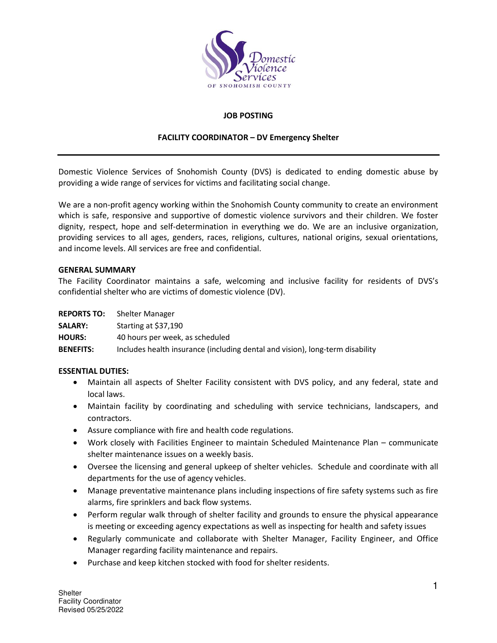

# **JOB POSTING**

## **FACILITY COORDINATOR – DV Emergency Shelter**

Domestic Violence Services of Snohomish County (DVS) is dedicated to ending domestic abuse by providing a wide range of services for victims and facilitating social change.

We are a non-profit agency working within the Snohomish County community to create an environment which is safe, responsive and supportive of domestic violence survivors and their children. We foster dignity, respect, hope and self-determination in everything we do. We are an inclusive organization, providing services to all ages, genders, races, religions, cultures, national origins, sexual orientations, and income levels. All services are free and confidential.

## **GENERAL SUMMARY**

The Facility Coordinator maintains a safe, welcoming and inclusive facility for residents of DVS's confidential shelter who are victims of domestic violence (DV).

| <b>REPORTS TO:</b> | Shelter Manager                                                               |
|--------------------|-------------------------------------------------------------------------------|
| <b>SALARY:</b>     | Starting at \$37,190                                                          |
| <b>HOURS:</b>      | 40 hours per week, as scheduled                                               |
| <b>BENEFITS:</b>   | Includes health insurance (including dental and vision), long-term disability |

## **ESSENTIAL DUTIES:**

- Maintain all aspects of Shelter Facility consistent with DVS policy, and any federal, state and local laws.
- Maintain facility by coordinating and scheduling with service technicians, landscapers, and contractors.
- Assure compliance with fire and health code regulations.
- Work closely with Facilities Engineer to maintain Scheduled Maintenance Plan communicate shelter maintenance issues on a weekly basis.
- Oversee the licensing and general upkeep of shelter vehicles. Schedule and coordinate with all departments for the use of agency vehicles.
- Manage preventative maintenance plans including inspections of fire safety systems such as fire alarms, fire sprinklers and back flow systems.
- Perform regular walk through of shelter facility and grounds to ensure the physical appearance is meeting or exceeding agency expectations as well as inspecting for health and safety issues
- Regularly communicate and collaborate with Shelter Manager, Facility Engineer, and Office Manager regarding facility maintenance and repairs.
- Purchase and keep kitchen stocked with food for shelter residents.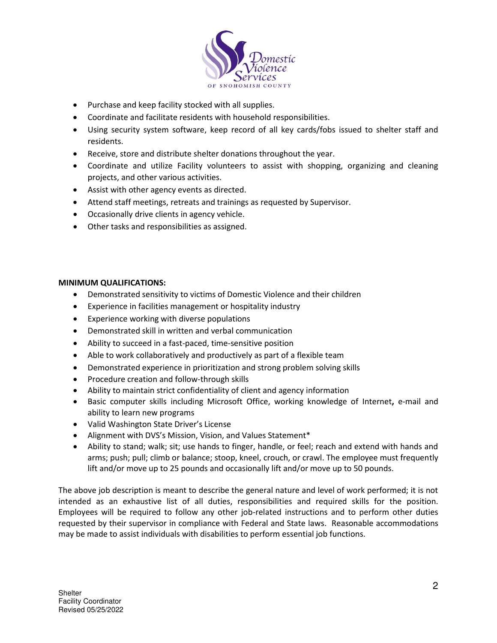

- Purchase and keep facility stocked with all supplies.
- Coordinate and facilitate residents with household responsibilities.
- Using security system software, keep record of all key cards/fobs issued to shelter staff and residents.
- Receive, store and distribute shelter donations throughout the year.
- Coordinate and utilize Facility volunteers to assist with shopping, organizing and cleaning projects, and other various activities.
- Assist with other agency events as directed.
- Attend staff meetings, retreats and trainings as requested by Supervisor.
- Occasionally drive clients in agency vehicle.
- Other tasks and responsibilities as assigned.

## **MINIMUM QUALIFICATIONS:**

- Demonstrated sensitivity to victims of Domestic Violence and their children
- Experience in facilities management or hospitality industry
- Experience working with diverse populations
- Demonstrated skill in written and verbal communication
- Ability to succeed in a fast-paced, time-sensitive position
- Able to work collaboratively and productively as part of a flexible team
- Demonstrated experience in prioritization and strong problem solving skills
- Procedure creation and follow-through skills
- Ability to maintain strict confidentiality of client and agency information
- Basic computer skills including Microsoft Office, working knowledge of Internet**,** e-mail and ability to learn new programs
- Valid Washington State Driver's License
- Alignment with DVS's Mission, Vision, and Values Statement\*
- Ability to stand; walk; sit; use hands to finger, handle, or feel; reach and extend with hands and arms; push; pull; climb or balance; stoop, kneel, crouch, or crawl. The employee must frequently lift and/or move up to 25 pounds and occasionally lift and/or move up to 50 pounds.

The above job description is meant to describe the general nature and level of work performed; it is not intended as an exhaustive list of all duties, responsibilities and required skills for the position. Employees will be required to follow any other job-related instructions and to perform other duties requested by their supervisor in compliance with Federal and State laws. Reasonable accommodations may be made to assist individuals with disabilities to perform essential job functions.